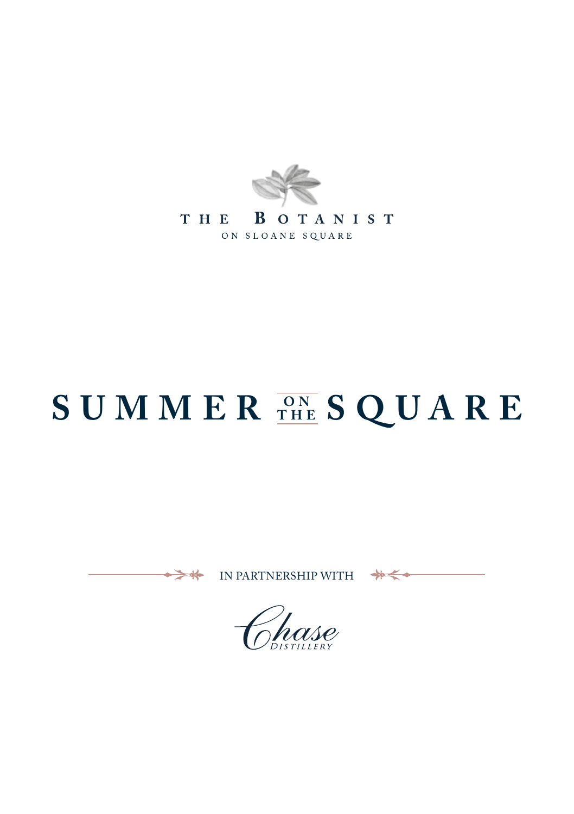

# **SUMMER THE SQUARE**

IN PARTNERSHIP WITH

↞

 $\Rightarrow$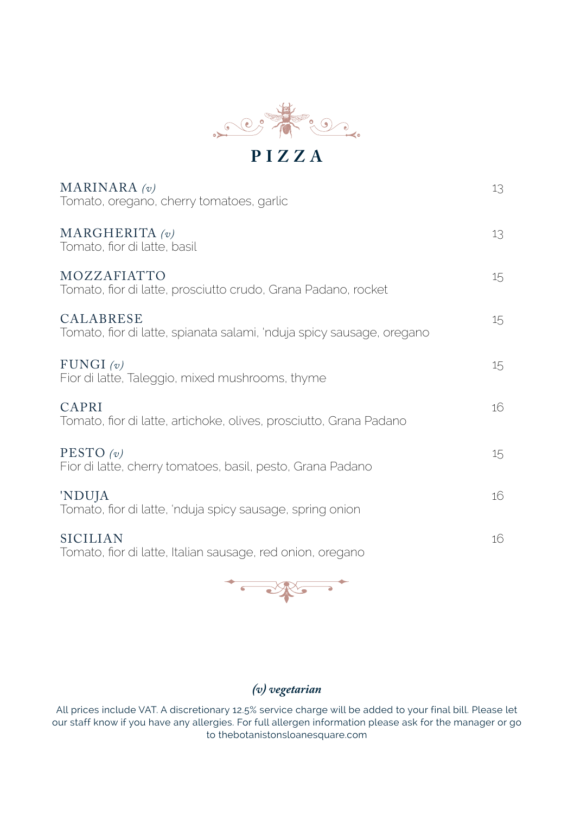

MARINARA *(v)* 13 Tomato, oregano, cherry tomatoes, garlic MARGHERITA  $\left\langle v\right\rangle$  13 Tomato, fior di latte, basil MOZZAFIATTO 15 Tomato, fior di latte, prosciutto crudo, Grana Padano, rocket CALABRESE 15 Tomato, fior di latte, spianata salami, 'nduja spicy sausage, oregano FUNGI  $\left(v\right)$  15 Fior di latte, Taleggio, mixed mushrooms, thyme  $CAPRI$  16 Tomato, fior di latte, artichoke, olives, prosciutto, Grana Padano PESTO (*v*) 15 Fior di latte, cherry tomatoes, basil, pesto, Grana Padano 'NDUJA 16 Tomato, fior di latte, 'nduja spicy sausage, spring onion SICILIAN 16 Tomato, fior di latte, Italian sausage, red onion, oregano



#### *(v) vegetarian*

All prices include VAT. A discretionary 12.5% service charge will be added to your final bill. Please let our staff know if you have any allergies. For full allergen information please ask for the manager or go to thebotanistonsloanesquare.com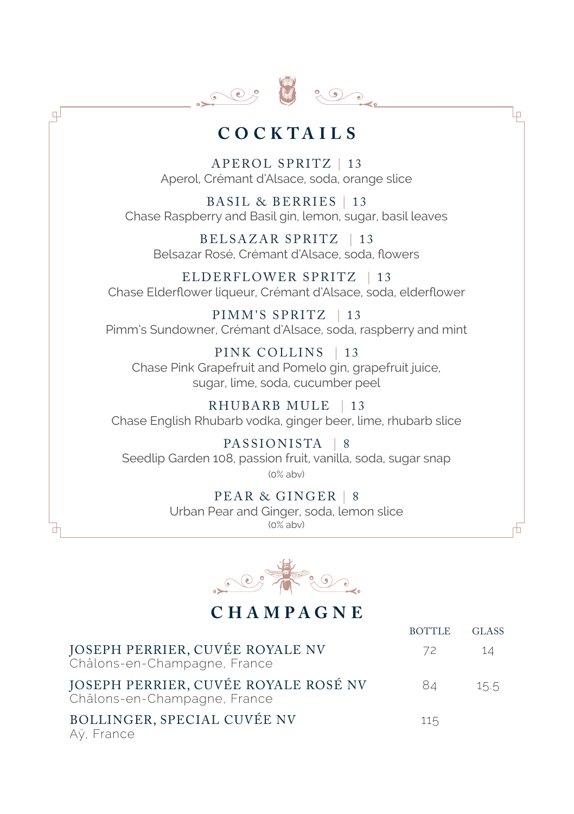

 $\mathbb{F}$ 

### **CO C KTA I L S**

Lр

APEROL SPRITZ | 13 Aperol, Crémant d'Alsace, soda, orange slice

BASIL & BERRIES | 13 Chase Raspberry and Basil gin, lemon, sugar, basil leaves

BELSAZAR SPRITZ | 13 Belsazar Rosé, Crémant d'Alsace, soda, flowers

ELDERFLOWER SPRITZ | 13 Chase Elderflower liqueur, Crémant d'Alsace, soda, elderflower

PIMM'S SPRITZ | 13 Pimm's Sundowner, Crémant d'Alsace, soda, raspberry and mint

PINK COLLINS | 13 Chase Pink Grapefruit and Pomelo gin, grapefruit juice, sugar, lime, soda, cucumber peel

RHUBARB MULE | 13 Chase English Rhubarb vodka, ginger beer, lime, rhubarb slice

PASSIONISTA | 8 Seedlip Garden 108, passion fruit, vanilla, soda, sugar snap (0% abv)

> PEAR & GINGER | 8 Urban Pear and Ginger, soda, lemon slice  $(0\%$  aby)



#### **CHAMPAGNE**

|                                                                      | <b>BOTTLE</b> | <b>GLASS</b> |
|----------------------------------------------------------------------|---------------|--------------|
| JOSEPH PERRIER, CUVÉE ROYALE NV<br>Châlons-en-Champagne, France      | 72            | 14           |
| JOSEPH PERRIER, CUVÉE ROYALE ROSÉ NV<br>Châlons-en-Champagne, France | 84            | 15.5         |
| BOLLINGER, SPECIAL CUVÉE NV<br>Aÿ, France                            | 115           |              |